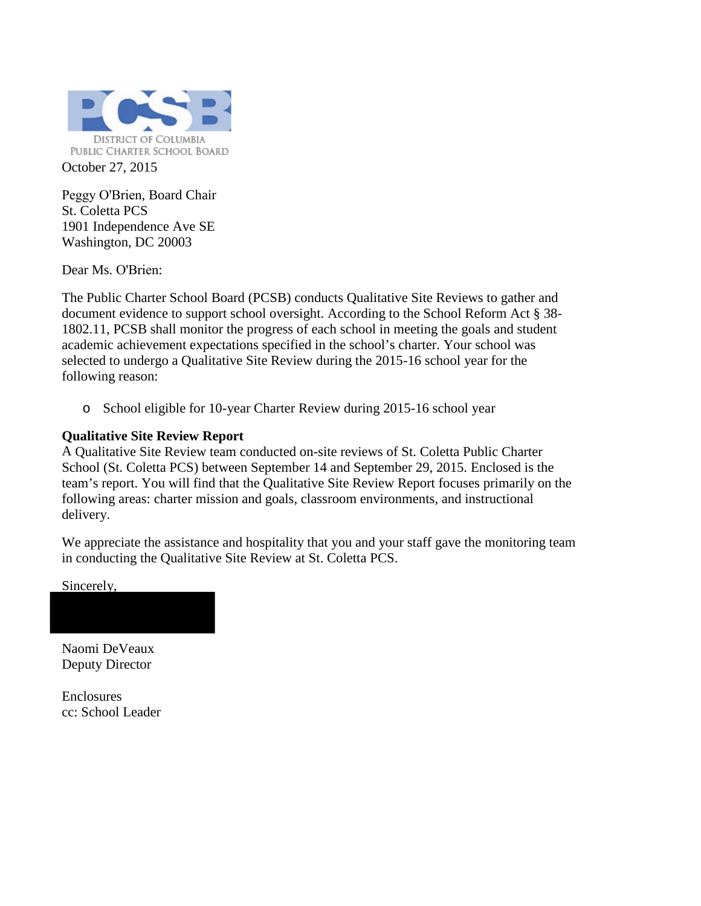

Peggy O'Brien, Board Chair St. Coletta PCS 1901 Independence Ave SE Washington, DC 20003

Dear Ms. O'Brien:

The Public Charter School Board (PCSB) conducts Qualitative Site Reviews to gather and document evidence to support school oversight. According to the School Reform Act § 38- 1802.11, PCSB shall monitor the progress of each school in meeting the goals and student academic achievement expectations specified in the school's charter. Your school was selected to undergo a Qualitative Site Review during the 2015-16 school year for the following reason:

o School eligible for 10-year Charter Review during 2015-16 school year

### **Qualitative Site Review Report**

A Qualitative Site Review team conducted on-site reviews of St. Coletta Public Charter School (St. Coletta PCS) between September 14 and September 29, 2015. Enclosed is the team's report. You will find that the Qualitative Site Review Report focuses primarily on the following areas: charter mission and goals, classroom environments, and instructional delivery.

We appreciate the assistance and hospitality that you and your staff gave the monitoring team in conducting the Qualitative Site Review at St. Coletta PCS.

Sincerely,

Naomi DeVeaux Deputy Director

Enclosures cc: School Leader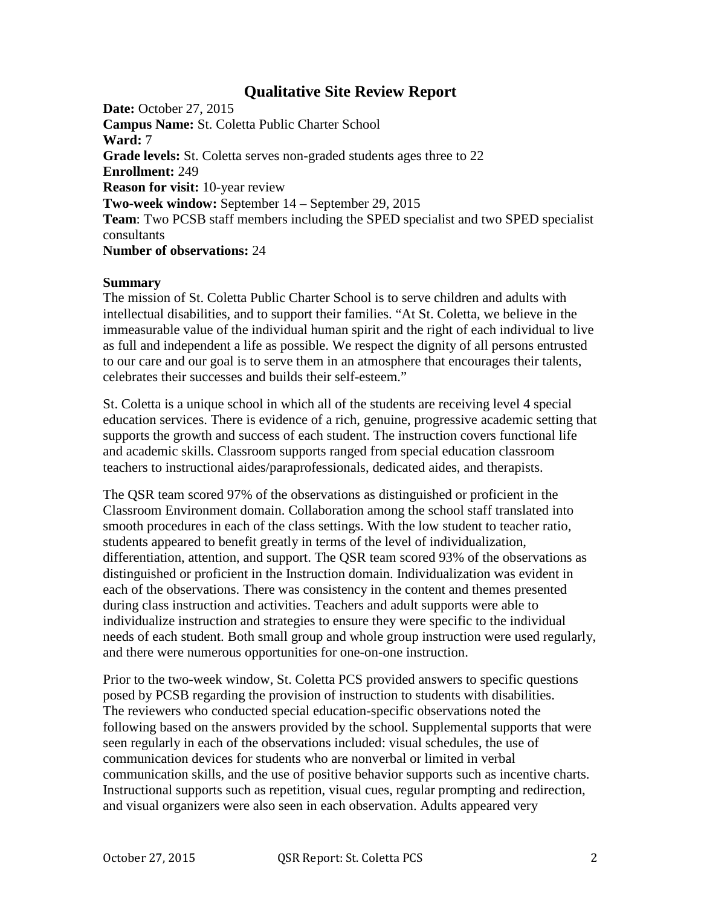### **Qualitative Site Review Report**

**Date:** October 27, 2015 **Campus Name:** St. Coletta Public Charter School **Ward:** 7 **Grade levels:** St. Coletta serves non-graded students ages three to 22 **Enrollment:** 249 **Reason for visit:** 10-year review **Two-week window:** September 14 – September 29, 2015 **Team**: Two PCSB staff members including the SPED specialist and two SPED specialist consultants **Number of observations:** 24

#### **Summary**

The mission of St. Coletta Public Charter School is to serve children and adults with intellectual disabilities, and to support their families. "At St. Coletta, we believe in the immeasurable value of the individual human spirit and the right of each individual to live as full and independent a life as possible. We respect the dignity of all persons entrusted to our care and our goal is to serve them in an atmosphere that encourages their talents, celebrates their successes and builds their self-esteem."

St. Coletta is a unique school in which all of the students are receiving level 4 special education services. There is evidence of a rich, genuine, progressive academic setting that supports the growth and success of each student. The instruction covers functional life and academic skills. Classroom supports ranged from special education classroom teachers to instructional aides/paraprofessionals, dedicated aides, and therapists.

The QSR team scored 97% of the observations as distinguished or proficient in the Classroom Environment domain. Collaboration among the school staff translated into smooth procedures in each of the class settings. With the low student to teacher ratio, students appeared to benefit greatly in terms of the level of individualization, differentiation, attention, and support. The QSR team scored 93% of the observations as distinguished or proficient in the Instruction domain. Individualization was evident in each of the observations. There was consistency in the content and themes presented during class instruction and activities. Teachers and adult supports were able to individualize instruction and strategies to ensure they were specific to the individual needs of each student. Both small group and whole group instruction were used regularly, and there were numerous opportunities for one-on-one instruction.

Prior to the two-week window, St. Coletta PCS provided answers to specific questions posed by PCSB regarding the provision of instruction to students with disabilities. The reviewers who conducted special education-specific observations noted the following based on the answers provided by the school. Supplemental supports that were seen regularly in each of the observations included: visual schedules, the use of communication devices for students who are nonverbal or limited in verbal communication skills, and the use of positive behavior supports such as incentive charts. Instructional supports such as repetition, visual cues, regular prompting and redirection, and visual organizers were also seen in each observation. Adults appeared very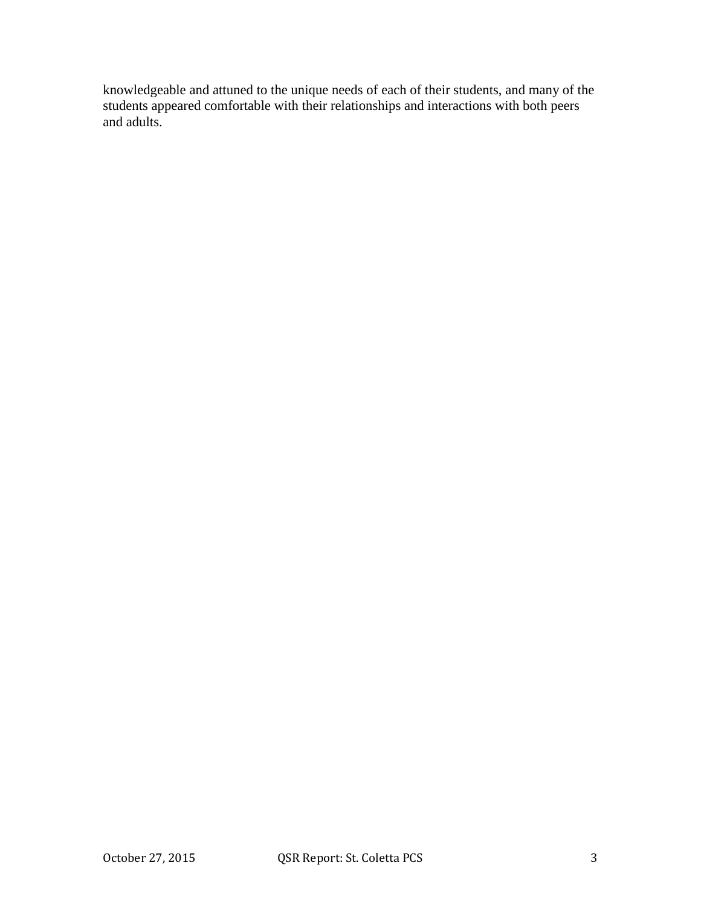knowledgeable and attuned to the unique needs of each of their students, and many of the students appeared comfortable with their relationships and interactions with both peers and adults.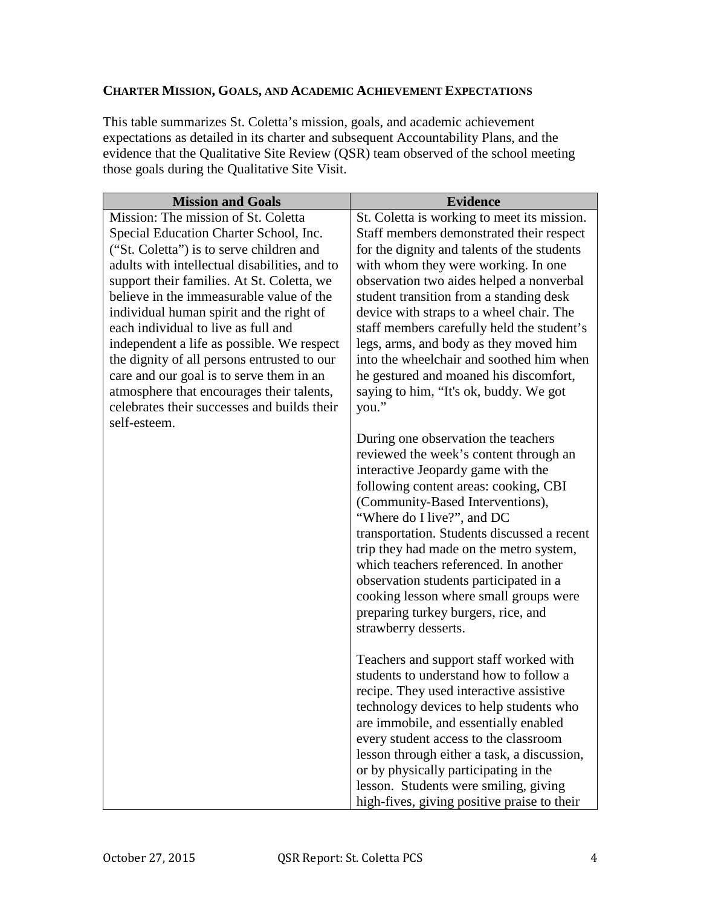### **CHARTER MISSION, GOALS, AND ACADEMIC ACHIEVEMENT EXPECTATIONS**

This table summarizes St. Coletta's mission, goals, and academic achievement expectations as detailed in its charter and subsequent Accountability Plans, and the evidence that the Qualitative Site Review (QSR) team observed of the school meeting those goals during the Qualitative Site Visit.

| <b>Mission and Goals</b>                                                                                                                                                                                                                                                                                                                                                                                                                                                                                                                                                                                     | <b>Evidence</b>                                                                                                                                                                                                                                                                                                                                                                                                                                                                                                                                   |
|--------------------------------------------------------------------------------------------------------------------------------------------------------------------------------------------------------------------------------------------------------------------------------------------------------------------------------------------------------------------------------------------------------------------------------------------------------------------------------------------------------------------------------------------------------------------------------------------------------------|---------------------------------------------------------------------------------------------------------------------------------------------------------------------------------------------------------------------------------------------------------------------------------------------------------------------------------------------------------------------------------------------------------------------------------------------------------------------------------------------------------------------------------------------------|
| Mission: The mission of St. Coletta<br>Special Education Charter School, Inc.<br>("St. Coletta") is to serve children and<br>adults with intellectual disabilities, and to<br>support their families. At St. Coletta, we<br>believe in the immeasurable value of the<br>individual human spirit and the right of<br>each individual to live as full and<br>independent a life as possible. We respect<br>the dignity of all persons entrusted to our<br>care and our goal is to serve them in an<br>atmosphere that encourages their talents,<br>celebrates their successes and builds their<br>self-esteem. | St. Coletta is working to meet its mission.<br>Staff members demonstrated their respect<br>for the dignity and talents of the students<br>with whom they were working. In one<br>observation two aides helped a nonverbal<br>student transition from a standing desk<br>device with straps to a wheel chair. The<br>staff members carefully held the student's<br>legs, arms, and body as they moved him<br>into the wheelchair and soothed him when<br>he gestured and moaned his discomfort,<br>saying to him, "It's ok, buddy. We got<br>you." |
|                                                                                                                                                                                                                                                                                                                                                                                                                                                                                                                                                                                                              | During one observation the teachers<br>reviewed the week's content through an<br>interactive Jeopardy game with the<br>following content areas: cooking, CBI<br>(Community-Based Interventions),<br>"Where do I live?", and DC<br>transportation. Students discussed a recent<br>trip they had made on the metro system,<br>which teachers referenced. In another<br>observation students participated in a<br>cooking lesson where small groups were<br>preparing turkey burgers, rice, and<br>strawberry desserts.                              |
|                                                                                                                                                                                                                                                                                                                                                                                                                                                                                                                                                                                                              | Teachers and support staff worked with<br>students to understand how to follow a<br>recipe. They used interactive assistive<br>technology devices to help students who<br>are immobile, and essentially enabled<br>every student access to the classroom<br>lesson through either a task, a discussion,<br>or by physically participating in the<br>lesson. Students were smiling, giving<br>high-fives, giving positive praise to their                                                                                                          |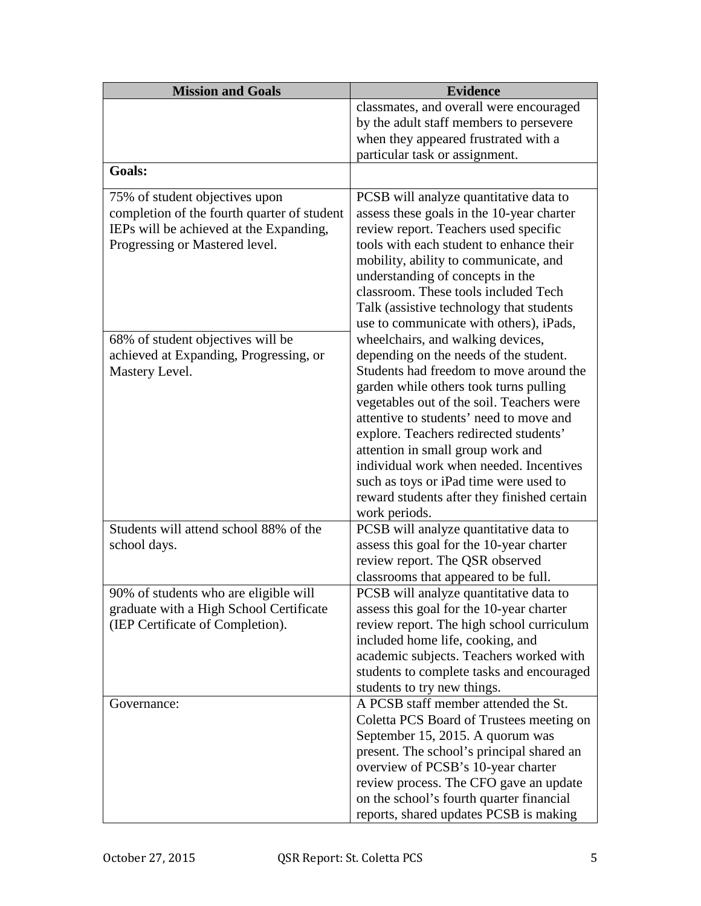| <b>Mission and Goals</b>                    | <b>Evidence</b>                                                                |
|---------------------------------------------|--------------------------------------------------------------------------------|
|                                             | classmates, and overall were encouraged                                        |
|                                             | by the adult staff members to persevere                                        |
|                                             | when they appeared frustrated with a                                           |
|                                             | particular task or assignment.                                                 |
| Goals:                                      |                                                                                |
| 75% of student objectives upon              | PCSB will analyze quantitative data to                                         |
| completion of the fourth quarter of student | assess these goals in the 10-year charter                                      |
| IEPs will be achieved at the Expanding,     | review report. Teachers used specific                                          |
| Progressing or Mastered level.              | tools with each student to enhance their                                       |
|                                             | mobility, ability to communicate, and                                          |
|                                             | understanding of concepts in the                                               |
|                                             | classroom. These tools included Tech                                           |
|                                             | Talk (assistive technology that students                                       |
| 68% of student objectives will be           | use to communicate with others), iPads,<br>wheelchairs, and walking devices,   |
| achieved at Expanding, Progressing, or      | depending on the needs of the student.                                         |
| Mastery Level.                              | Students had freedom to move around the                                        |
|                                             | garden while others took turns pulling                                         |
|                                             | vegetables out of the soil. Teachers were                                      |
|                                             | attentive to students' need to move and                                        |
|                                             | explore. Teachers redirected students'                                         |
|                                             | attention in small group work and                                              |
|                                             | individual work when needed. Incentives                                        |
|                                             | such as toys or iPad time were used to                                         |
|                                             | reward students after they finished certain                                    |
|                                             | work periods.                                                                  |
| Students will attend school 88% of the      | PCSB will analyze quantitative data to                                         |
| school days.                                | assess this goal for the 10-year charter                                       |
|                                             | review report. The QSR observed                                                |
| 90% of students who are eligible will       | classrooms that appeared to be full.<br>PCSB will analyze quantitative data to |
| graduate with a High School Certificate     | assess this goal for the 10-year charter                                       |
| (IEP Certificate of Completion).            | review report. The high school curriculum                                      |
|                                             | included home life, cooking, and                                               |
|                                             | academic subjects. Teachers worked with                                        |
|                                             | students to complete tasks and encouraged                                      |
|                                             | students to try new things.                                                    |
| Governance:                                 | A PCSB staff member attended the St.                                           |
|                                             | Coletta PCS Board of Trustees meeting on                                       |
|                                             | September 15, 2015. A quorum was                                               |
|                                             | present. The school's principal shared an                                      |
|                                             | overview of PCSB's 10-year charter                                             |
|                                             | review process. The CFO gave an update                                         |
|                                             | on the school's fourth quarter financial                                       |
|                                             | reports, shared updates PCSB is making                                         |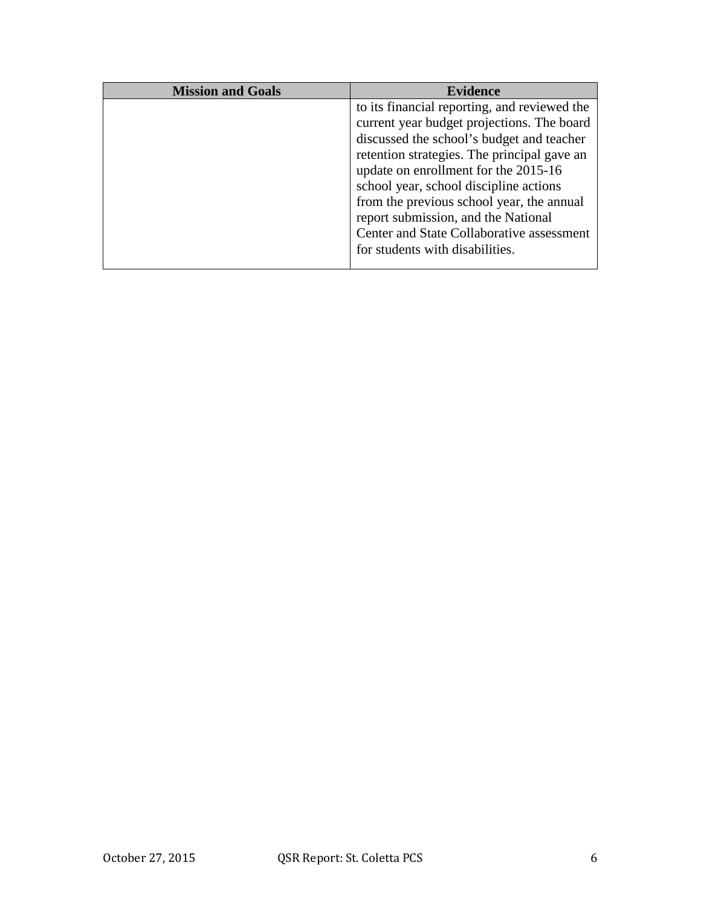| <b>Mission and Goals</b> | Evidence                                     |
|--------------------------|----------------------------------------------|
|                          | to its financial reporting, and reviewed the |
|                          | current year budget projections. The board   |
|                          | discussed the school's budget and teacher    |
|                          | retention strategies. The principal gave an  |
|                          | update on enrollment for the 2015-16         |
|                          | school year, school discipline actions       |
|                          | from the previous school year, the annual    |
|                          | report submission, and the National          |
|                          | Center and State Collaborative assessment    |
|                          | for students with disabilities.              |
|                          |                                              |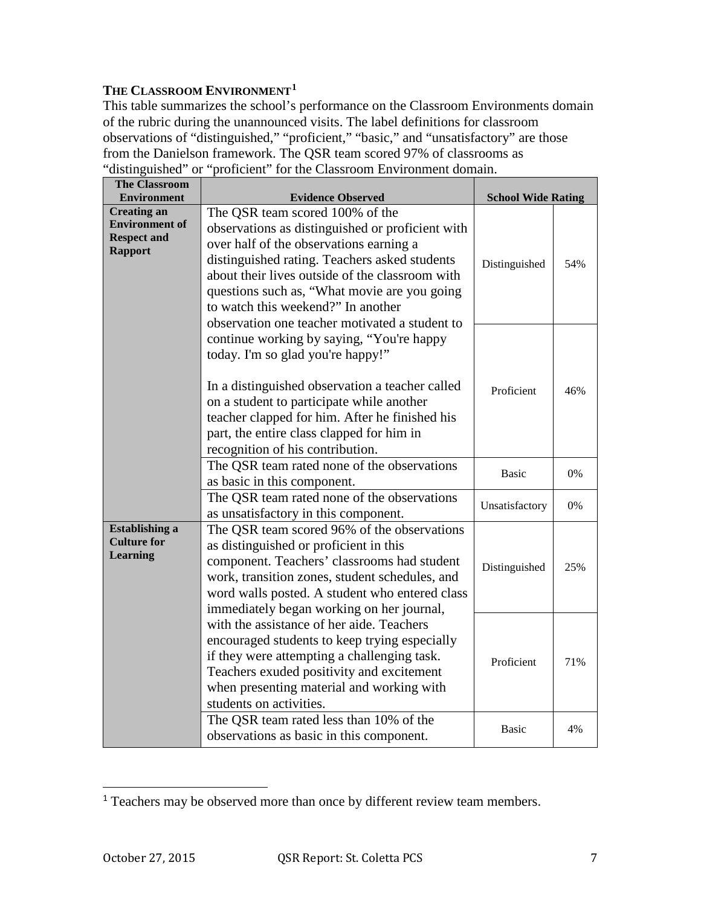### **THE CLASSROOM ENVIRONMENT1**

This table summarizes the school's performance on the Classroom Environments domain of the rubric during the unannounced visits. The label definitions for classroom observations of "distinguished," "proficient," "basic," and "unsatisfactory" are those from the Danielson framework. The QSR team scored 97% of classrooms as "distinguished" or "proficient" for the Classroom Environment domain.

| <b>The Classroom</b>                                                                |                                                                                                                                                                                                                                                                                                                                                                            |                           |     |
|-------------------------------------------------------------------------------------|----------------------------------------------------------------------------------------------------------------------------------------------------------------------------------------------------------------------------------------------------------------------------------------------------------------------------------------------------------------------------|---------------------------|-----|
| <b>Environment</b>                                                                  | <b>Evidence Observed</b>                                                                                                                                                                                                                                                                                                                                                   | <b>School Wide Rating</b> |     |
| <b>Creating an</b><br><b>Environment of</b><br><b>Respect and</b><br><b>Rapport</b> | The QSR team scored 100% of the<br>observations as distinguished or proficient with<br>over half of the observations earning a<br>distinguished rating. Teachers asked students<br>about their lives outside of the classroom with<br>questions such as, "What movie are you going<br>to watch this weekend?" In another<br>observation one teacher motivated a student to | Distinguished             | 54% |
|                                                                                     | continue working by saying, "You're happy<br>today. I'm so glad you're happy!"<br>In a distinguished observation a teacher called<br>on a student to participate while another<br>teacher clapped for him. After he finished his<br>part, the entire class clapped for him in<br>recognition of his contribution.                                                          | Proficient                | 46% |
|                                                                                     | The QSR team rated none of the observations<br>as basic in this component.                                                                                                                                                                                                                                                                                                 | <b>Basic</b>              | 0%  |
|                                                                                     | The QSR team rated none of the observations<br>as unsatisfactory in this component.                                                                                                                                                                                                                                                                                        | Unsatisfactory            | 0%  |
| <b>Establishing a</b><br><b>Culture for</b><br><b>Learning</b>                      | The QSR team scored 96% of the observations<br>as distinguished or proficient in this<br>component. Teachers' classrooms had student<br>work, transition zones, student schedules, and<br>word walls posted. A student who entered class<br>immediately began working on her journal,                                                                                      | Distinguished             | 25% |
|                                                                                     | with the assistance of her aide. Teachers<br>encouraged students to keep trying especially<br>if they were attempting a challenging task.<br>Teachers exuded positivity and excitement<br>when presenting material and working with<br>students on activities.                                                                                                             | Proficient                | 71% |
|                                                                                     | The QSR team rated less than 10% of the<br>observations as basic in this component.                                                                                                                                                                                                                                                                                        | <b>Basic</b>              | 4%  |

<sup>&</sup>lt;sup>1</sup> Teachers may be observed more than once by different review team members.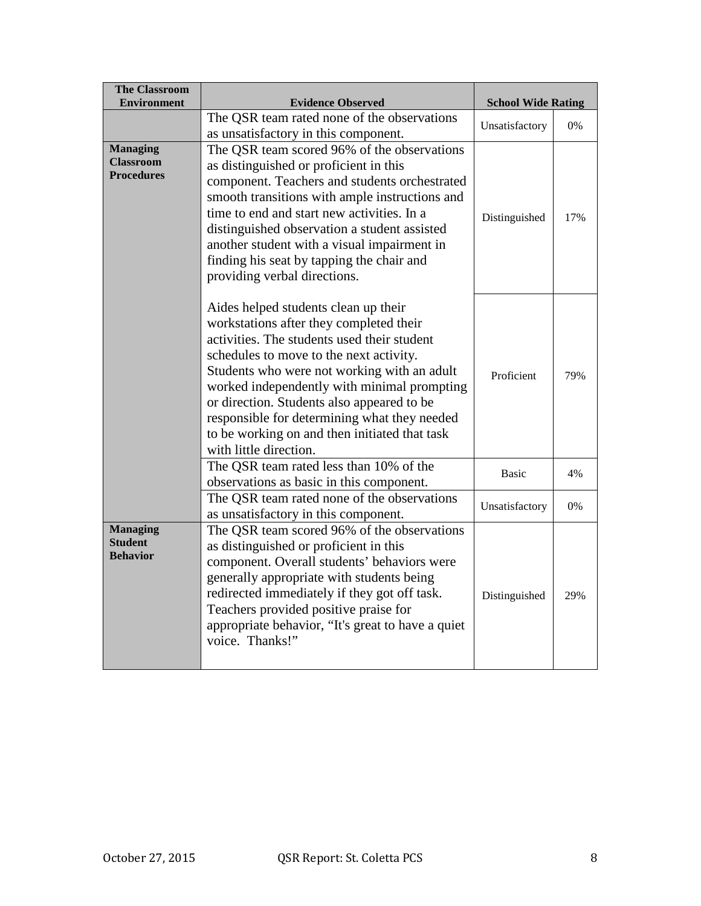| <b>The Classroom</b><br><b>Environment</b>               | <b>Evidence Observed</b>                                                                                                                                                                                                                                                                                                                                                                                                                         | <b>School Wide Rating</b> |     |
|----------------------------------------------------------|--------------------------------------------------------------------------------------------------------------------------------------------------------------------------------------------------------------------------------------------------------------------------------------------------------------------------------------------------------------------------------------------------------------------------------------------------|---------------------------|-----|
|                                                          | The QSR team rated none of the observations<br>as unsatisfactory in this component.                                                                                                                                                                                                                                                                                                                                                              | Unsatisfactory            | 0%  |
| <b>Managing</b><br><b>Classroom</b><br><b>Procedures</b> | The QSR team scored 96% of the observations<br>as distinguished or proficient in this<br>component. Teachers and students orchestrated<br>smooth transitions with ample instructions and<br>time to end and start new activities. In a<br>distinguished observation a student assisted<br>another student with a visual impairment in<br>finding his seat by tapping the chair and<br>providing verbal directions.                               | Distinguished             | 17% |
|                                                          | Aides helped students clean up their<br>workstations after they completed their<br>activities. The students used their student<br>schedules to move to the next activity.<br>Students who were not working with an adult<br>worked independently with minimal prompting<br>or direction. Students also appeared to be<br>responsible for determining what they needed<br>to be working on and then initiated that task<br>with little direction. | Proficient                | 79% |
|                                                          | The QSR team rated less than 10% of the<br>observations as basic in this component.                                                                                                                                                                                                                                                                                                                                                              | <b>Basic</b>              | 4%  |
|                                                          | The QSR team rated none of the observations<br>as unsatisfactory in this component.                                                                                                                                                                                                                                                                                                                                                              | Unsatisfactory            | 0%  |
| <b>Managing</b><br><b>Student</b><br><b>Behavior</b>     | The QSR team scored 96% of the observations<br>as distinguished or proficient in this<br>component. Overall students' behaviors were<br>generally appropriate with students being<br>redirected immediately if they got off task.<br>Teachers provided positive praise for<br>appropriate behavior, "It's great to have a quiet<br>voice. Thanks!"                                                                                               | Distinguished             | 29% |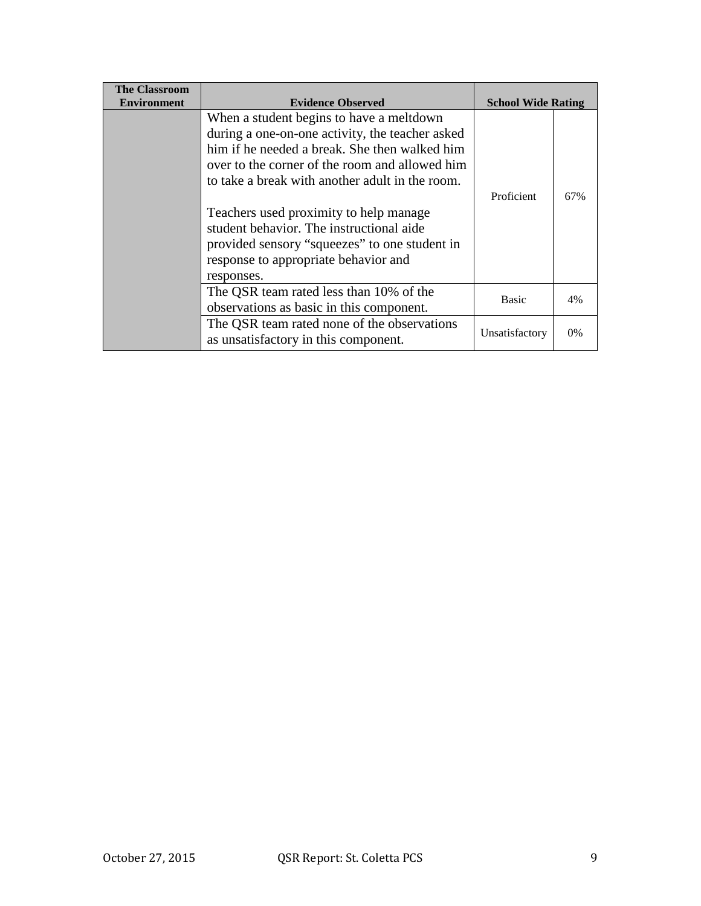| <b>The Classroom</b> |                                                                                                                                                                                                                                                   |                           |       |
|----------------------|---------------------------------------------------------------------------------------------------------------------------------------------------------------------------------------------------------------------------------------------------|---------------------------|-------|
| <b>Environment</b>   | <b>Evidence Observed</b>                                                                                                                                                                                                                          | <b>School Wide Rating</b> |       |
|                      | When a student begins to have a meltdown<br>during a one-on-one activity, the teacher asked<br>him if he needed a break. She then walked him<br>over to the corner of the room and allowed him<br>to take a break with another adult in the room. |                           |       |
|                      | Teachers used proximity to help manage.<br>student behavior. The instructional aide<br>provided sensory "squeezes" to one student in<br>response to appropriate behavior and<br>responses.                                                        | Proficient                | 67%   |
|                      | The QSR team rated less than 10% of the<br>observations as basic in this component.                                                                                                                                                               | <b>Basic</b>              | 4%    |
|                      | The QSR team rated none of the observations<br>as unsatisfactory in this component.                                                                                                                                                               | Unsatisfactory            | $0\%$ |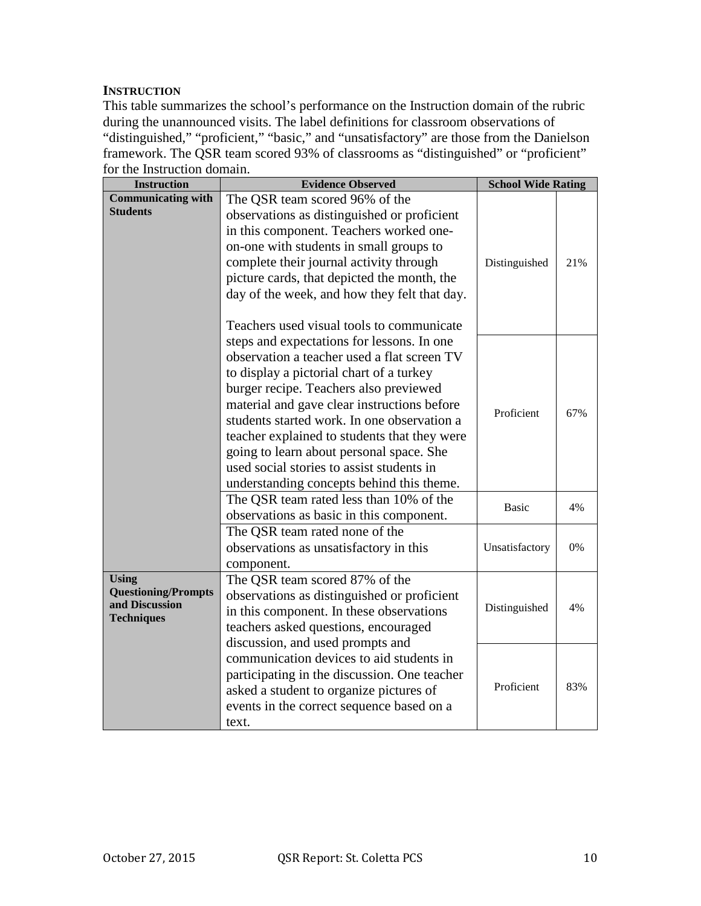#### **INSTRUCTION**

This table summarizes the school's performance on the Instruction domain of the rubric during the unannounced visits. The label definitions for classroom observations of "distinguished," "proficient," "basic," and "unsatisfactory" are those from the Danielson framework. The QSR team scored 93% of classrooms as "distinguished" or "proficient" for the Instruction domain.

| <b>Instruction</b>                                                                                                                                                                                                                                                                                                                                                                                                                                                  | <b>Evidence Observed</b>                                                                                                                                                                                                                                                                                                                                   | <b>School Wide Rating</b> |     |
|---------------------------------------------------------------------------------------------------------------------------------------------------------------------------------------------------------------------------------------------------------------------------------------------------------------------------------------------------------------------------------------------------------------------------------------------------------------------|------------------------------------------------------------------------------------------------------------------------------------------------------------------------------------------------------------------------------------------------------------------------------------------------------------------------------------------------------------|---------------------------|-----|
| <b>Communicating with</b><br><b>Students</b>                                                                                                                                                                                                                                                                                                                                                                                                                        | The QSR team scored 96% of the<br>observations as distinguished or proficient<br>in this component. Teachers worked one-<br>on-one with students in small groups to<br>complete their journal activity through<br>picture cards, that depicted the month, the<br>day of the week, and how they felt that day.<br>Teachers used visual tools to communicate | Distinguished             | 21% |
| steps and expectations for lessons. In one<br>observation a teacher used a flat screen TV<br>to display a pictorial chart of a turkey<br>burger recipe. Teachers also previewed<br>material and gave clear instructions before<br>students started work. In one observation a<br>teacher explained to students that they were<br>going to learn about personal space. She<br>used social stories to assist students in<br>understanding concepts behind this theme. |                                                                                                                                                                                                                                                                                                                                                            | Proficient                | 67% |
|                                                                                                                                                                                                                                                                                                                                                                                                                                                                     | The QSR team rated less than 10% of the<br>observations as basic in this component.                                                                                                                                                                                                                                                                        | Basic                     | 4%  |
|                                                                                                                                                                                                                                                                                                                                                                                                                                                                     | The QSR team rated none of the<br>observations as unsatisfactory in this<br>component.                                                                                                                                                                                                                                                                     | Unsatisfactory            | 0%  |
| <b>Using</b><br><b>Questioning/Prompts</b><br>and Discussion<br><b>Techniques</b>                                                                                                                                                                                                                                                                                                                                                                                   | The QSR team scored 87% of the<br>observations as distinguished or proficient<br>Distinguished<br>in this component. In these observations<br>teachers asked questions, encouraged                                                                                                                                                                         |                           | 4%  |
|                                                                                                                                                                                                                                                                                                                                                                                                                                                                     | discussion, and used prompts and<br>communication devices to aid students in<br>participating in the discussion. One teacher<br>asked a student to organize pictures of<br>events in the correct sequence based on a<br>text.                                                                                                                              | Proficient                | 83% |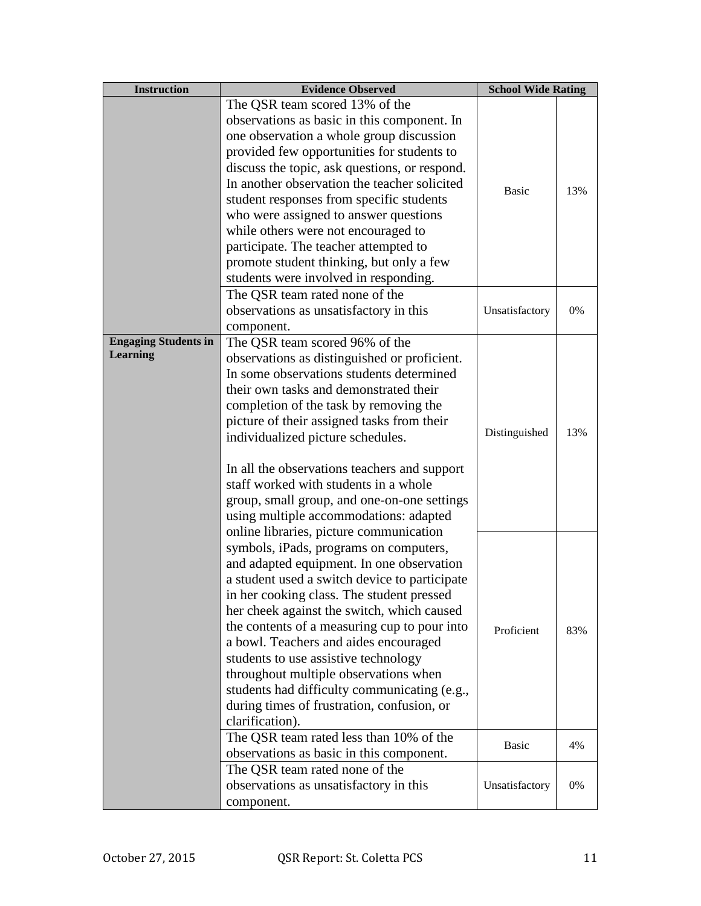| <b>Instruction</b>                             | <b>Evidence Observed</b>                                                                                                                                                                                                                                                                                                                                                                                                                                                                                                                                              | <b>School Wide Rating</b> |     |
|------------------------------------------------|-----------------------------------------------------------------------------------------------------------------------------------------------------------------------------------------------------------------------------------------------------------------------------------------------------------------------------------------------------------------------------------------------------------------------------------------------------------------------------------------------------------------------------------------------------------------------|---------------------------|-----|
|                                                | The QSR team scored 13% of the<br>observations as basic in this component. In<br>one observation a whole group discussion<br>provided few opportunities for students to<br>discuss the topic, ask questions, or respond.<br>In another observation the teacher solicited<br>student responses from specific students<br>who were assigned to answer questions<br>while others were not encouraged to<br>participate. The teacher attempted to<br>promote student thinking, but only a few<br>students were involved in responding.                                    | <b>Basic</b>              | 13% |
|                                                | The QSR team rated none of the<br>observations as unsatisfactory in this<br>component.                                                                                                                                                                                                                                                                                                                                                                                                                                                                                | Unsatisfactory            | 0%  |
| <b>Engaging Students in</b><br><b>Learning</b> | The QSR team scored 96% of the<br>observations as distinguished or proficient.<br>In some observations students determined<br>their own tasks and demonstrated their<br>completion of the task by removing the<br>picture of their assigned tasks from their<br>individualized picture schedules.<br>In all the observations teachers and support<br>staff worked with students in a whole<br>group, small group, and one-on-one settings<br>using multiple accommodations: adapted                                                                                   |                           | 13% |
|                                                | online libraries, picture communication<br>symbols, iPads, programs on computers,<br>and adapted equipment. In one observation<br>a student used a switch device to participate<br>in her cooking class. The student pressed<br>her cheek against the switch, which caused<br>the contents of a measuring cup to pour into<br>a bowl. Teachers and aides encouraged<br>students to use assistive technology<br>throughout multiple observations when<br>students had difficulty communicating (e.g.,<br>during times of frustration, confusion, or<br>clarification). | Proficient                | 83% |
|                                                | The QSR team rated less than 10% of the<br>observations as basic in this component.                                                                                                                                                                                                                                                                                                                                                                                                                                                                                   | <b>Basic</b>              | 4%  |
|                                                | The QSR team rated none of the<br>observations as unsatisfactory in this<br>component.                                                                                                                                                                                                                                                                                                                                                                                                                                                                                | Unsatisfactory            | 0%  |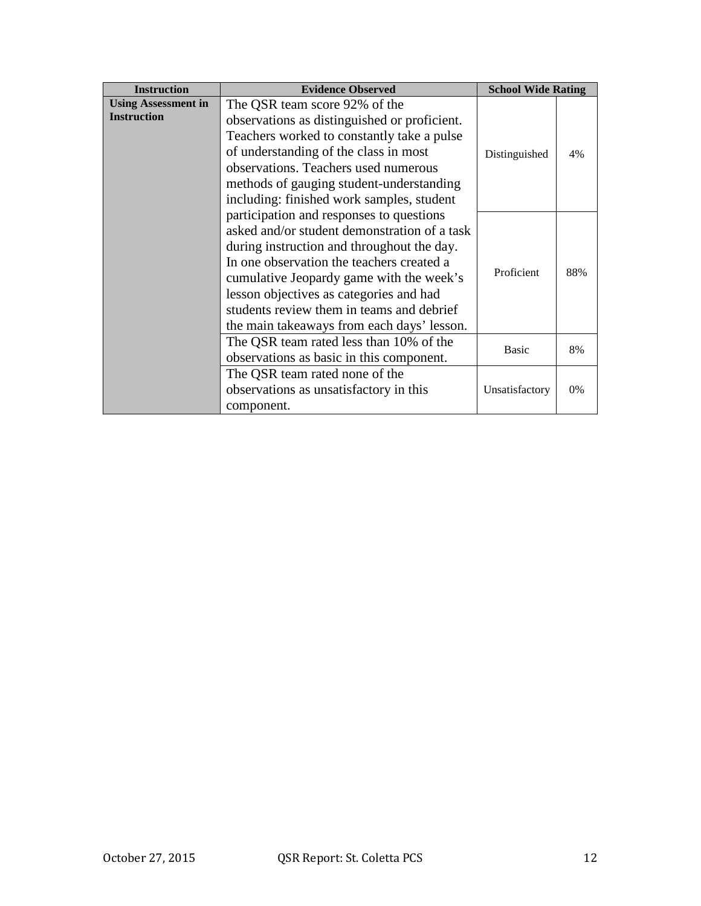| <b>Instruction</b>                               | <b>Evidence Observed</b>                                                                                                                                                                                                                                                                                                                                              | <b>School Wide Rating</b> |       |
|--------------------------------------------------|-----------------------------------------------------------------------------------------------------------------------------------------------------------------------------------------------------------------------------------------------------------------------------------------------------------------------------------------------------------------------|---------------------------|-------|
| <b>Using Assessment in</b><br><b>Instruction</b> | The QSR team score 92% of the<br>observations as distinguished or proficient.<br>Teachers worked to constantly take a pulse<br>of understanding of the class in most<br>observations. Teachers used numerous<br>methods of gauging student-understanding<br>including: finished work samples, student                                                                 | Distinguished             | 4%    |
|                                                  | participation and responses to questions<br>asked and/or student demonstration of a task<br>during instruction and throughout the day.<br>In one observation the teachers created a<br>cumulative Jeopardy game with the week's<br>lesson objectives as categories and had<br>students review them in teams and debrief<br>the main takeaways from each days' lesson. | Proficient                | 88%   |
|                                                  | The QSR team rated less than 10% of the<br>observations as basic in this component.                                                                                                                                                                                                                                                                                   | <b>Basic</b>              | 8%    |
|                                                  | The QSR team rated none of the<br>observations as unsatisfactory in this<br>component.                                                                                                                                                                                                                                                                                | Unsatisfactory            | $0\%$ |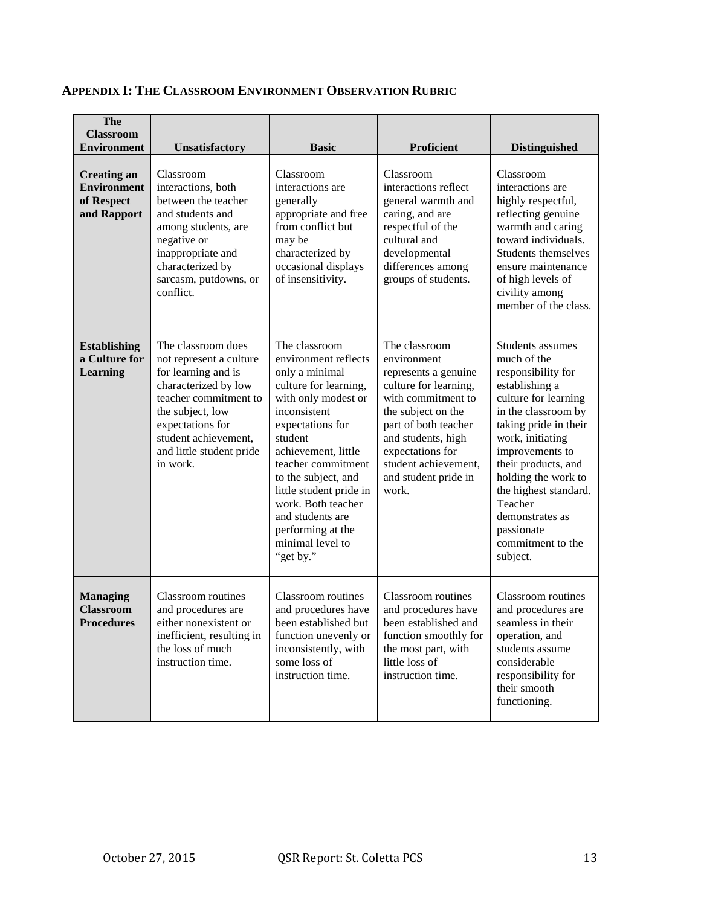| The<br><b>Classroom</b><br><b>Environment</b>                         | <b>Unsatisfactory</b>                                                                                                                                                                                                         | <b>Basic</b>                                                                                                                                                                                                                                                                                                                                          | Proficient                                                                                                                                                                                                                                           | <b>Distinguished</b>                                                                                                                                                                                                                                                                                                                       |
|-----------------------------------------------------------------------|-------------------------------------------------------------------------------------------------------------------------------------------------------------------------------------------------------------------------------|-------------------------------------------------------------------------------------------------------------------------------------------------------------------------------------------------------------------------------------------------------------------------------------------------------------------------------------------------------|------------------------------------------------------------------------------------------------------------------------------------------------------------------------------------------------------------------------------------------------------|--------------------------------------------------------------------------------------------------------------------------------------------------------------------------------------------------------------------------------------------------------------------------------------------------------------------------------------------|
| <b>Creating an</b><br><b>Environment</b><br>of Respect<br>and Rapport | Classroom<br>interactions, both<br>between the teacher<br>and students and<br>among students, are<br>negative or<br>inappropriate and<br>characterized by<br>sarcasm, putdowns, or<br>conflict.                               | Classroom<br>interactions are<br>generally<br>appropriate and free<br>from conflict but<br>may be<br>characterized by<br>occasional displays<br>of insensitivity.                                                                                                                                                                                     | Classroom<br>interactions reflect<br>general warmth and<br>caring, and are<br>respectful of the<br>cultural and<br>developmental<br>differences among<br>groups of students.                                                                         | Classroom<br>interactions are<br>highly respectful,<br>reflecting genuine<br>warmth and caring<br>toward individuals.<br>Students themselves<br>ensure maintenance<br>of high levels of<br>civility among<br>member of the class.                                                                                                          |
| <b>Establishing</b><br>a Culture for<br><b>Learning</b>               | The classroom does<br>not represent a culture<br>for learning and is<br>characterized by low<br>teacher commitment to<br>the subject, low<br>expectations for<br>student achievement,<br>and little student pride<br>in work. | The classroom<br>environment reflects<br>only a minimal<br>culture for learning,<br>with only modest or<br>inconsistent<br>expectations for<br>student<br>achievement, little<br>teacher commitment<br>to the subject, and<br>little student pride in<br>work. Both teacher<br>and students are<br>performing at the<br>minimal level to<br>"get by." | The classroom<br>environment<br>represents a genuine<br>culture for learning,<br>with commitment to<br>the subject on the<br>part of both teacher<br>and students, high<br>expectations for<br>student achievement,<br>and student pride in<br>work. | Students assumes<br>much of the<br>responsibility for<br>establishing a<br>culture for learning<br>in the classroom by<br>taking pride in their<br>work, initiating<br>improvements to<br>their products, and<br>holding the work to<br>the highest standard.<br>Teacher<br>demonstrates as<br>passionate<br>commitment to the<br>subject. |
| <b>Managing</b><br><b>Classroom</b><br><b>Procedures</b>              | Classroom routines<br>and procedures are<br>either nonexistent or<br>inefficient, resulting in<br>the loss of much<br>instruction time.                                                                                       | Classroom routines<br>and procedures have<br>been established but<br>function unevenly or<br>inconsistently, with<br>some loss of<br>instruction time.                                                                                                                                                                                                | Classroom routines<br>and procedures have<br>been established and<br>function smoothly for<br>the most part, with<br>little loss of<br>instruction time.                                                                                             | Classroom routines<br>and procedures are<br>seamless in their<br>operation, and<br>students assume<br>considerable<br>responsibility for<br>their smooth<br>functioning.                                                                                                                                                                   |

# **APPENDIX I: THE CLASSROOM ENVIRONMENT OBSERVATION RUBRIC**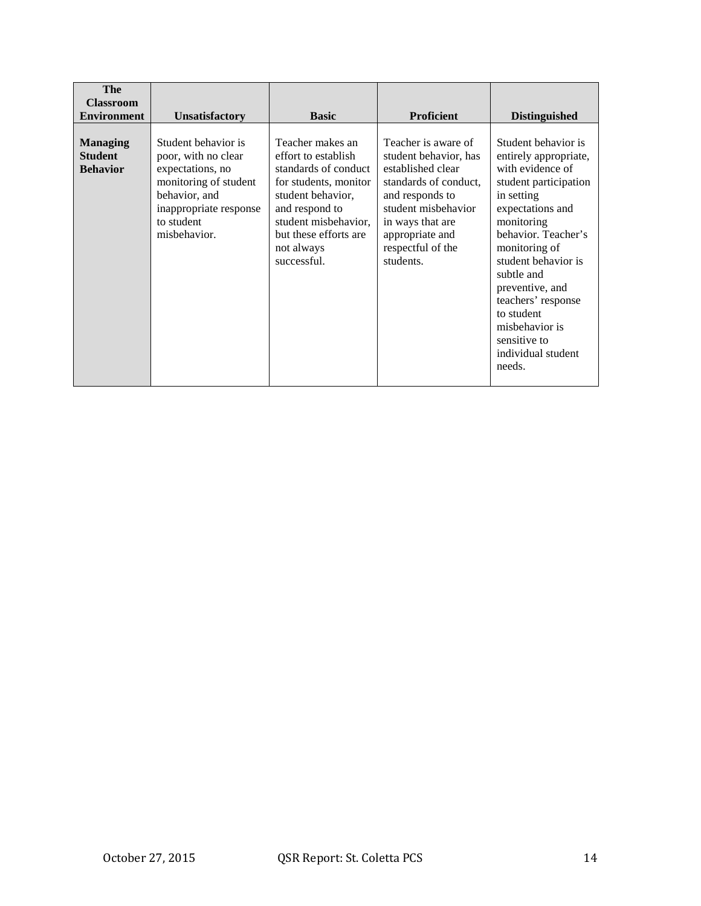| <b>The</b><br><b>Classroom</b><br><b>Environment</b> | <b>Unsatisfactory</b>                                                                                                                                            | <b>Basic</b>                                                                                                                                                                                                  | <b>Proficient</b>                                                                                                                                                                                             | <b>Distinguished</b>                                                                                                                                                                                                                                                                                                                            |
|------------------------------------------------------|------------------------------------------------------------------------------------------------------------------------------------------------------------------|---------------------------------------------------------------------------------------------------------------------------------------------------------------------------------------------------------------|---------------------------------------------------------------------------------------------------------------------------------------------------------------------------------------------------------------|-------------------------------------------------------------------------------------------------------------------------------------------------------------------------------------------------------------------------------------------------------------------------------------------------------------------------------------------------|
| <b>Managing</b><br><b>Student</b><br><b>Behavior</b> | Student behavior is<br>poor, with no clear<br>expectations, no<br>monitoring of student<br>behavior, and<br>inappropriate response<br>to student<br>misbehavior. | Teacher makes an<br>effort to establish<br>standards of conduct<br>for students, monitor<br>student behavior,<br>and respond to<br>student misbehavior,<br>but these efforts are<br>not always<br>successful. | Teacher is aware of<br>student behavior, has<br>established clear<br>standards of conduct.<br>and responds to<br>student misbehavior<br>in ways that are<br>appropriate and<br>respectful of the<br>students. | Student behavior is<br>entirely appropriate,<br>with evidence of<br>student participation<br>in setting<br>expectations and<br>monitoring<br>behavior. Teacher's<br>monitoring of<br>student behavior is<br>subtle and<br>preventive, and<br>teachers' response<br>to student<br>misbehavior is<br>sensitive to<br>individual student<br>needs. |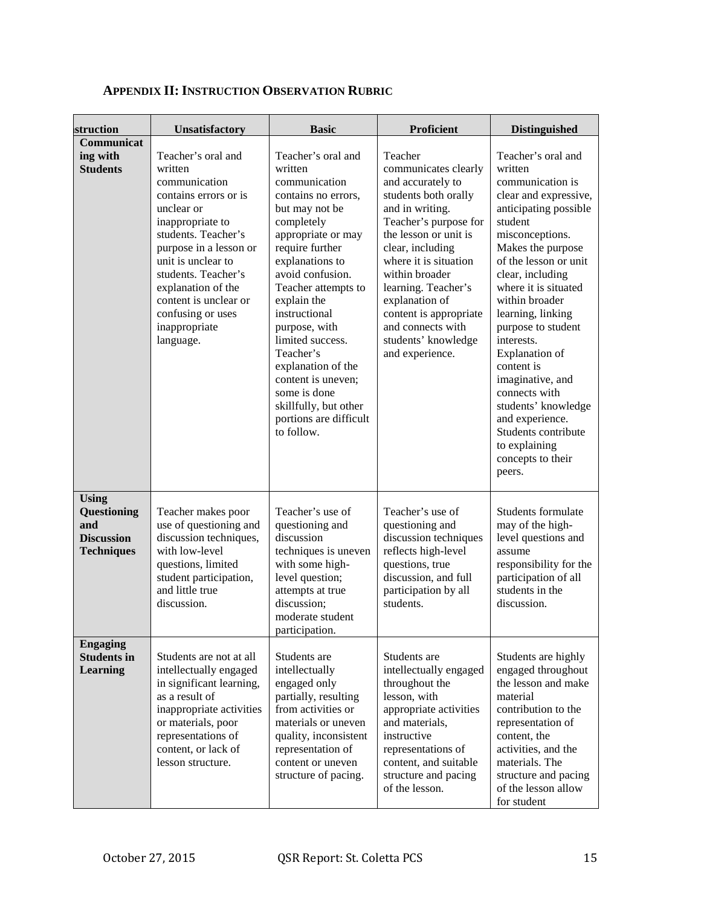| struction                                                                    | Unsatisfactory                                                                                                                                                                                                                                                                                            | <b>Basic</b>                                                                                                                                                                                                                                                                                                                                                                                                                | <b>Proficient</b>                                                                                                                                                                                                                                                                                                                                  | <b>Distinguished</b>                                                                                                                                                                                                                                                                                                                                                                                                                                                                                |
|------------------------------------------------------------------------------|-----------------------------------------------------------------------------------------------------------------------------------------------------------------------------------------------------------------------------------------------------------------------------------------------------------|-----------------------------------------------------------------------------------------------------------------------------------------------------------------------------------------------------------------------------------------------------------------------------------------------------------------------------------------------------------------------------------------------------------------------------|----------------------------------------------------------------------------------------------------------------------------------------------------------------------------------------------------------------------------------------------------------------------------------------------------------------------------------------------------|-----------------------------------------------------------------------------------------------------------------------------------------------------------------------------------------------------------------------------------------------------------------------------------------------------------------------------------------------------------------------------------------------------------------------------------------------------------------------------------------------------|
| Communicat<br>ing with<br><b>Students</b>                                    | Teacher's oral and<br>written<br>communication<br>contains errors or is<br>unclear or<br>inappropriate to<br>students. Teacher's<br>purpose in a lesson or<br>unit is unclear to<br>students. Teacher's<br>explanation of the<br>content is unclear or<br>confusing or uses<br>inappropriate<br>language. | Teacher's oral and<br>written<br>communication<br>contains no errors,<br>but may not be<br>completely<br>appropriate or may<br>require further<br>explanations to<br>avoid confusion.<br>Teacher attempts to<br>explain the<br>instructional<br>purpose, with<br>limited success.<br>Teacher's<br>explanation of the<br>content is uneven;<br>some is done<br>skillfully, but other<br>portions are difficult<br>to follow. | Teacher<br>communicates clearly<br>and accurately to<br>students both orally<br>and in writing.<br>Teacher's purpose for<br>the lesson or unit is<br>clear, including<br>where it is situation<br>within broader<br>learning. Teacher's<br>explanation of<br>content is appropriate<br>and connects with<br>students' knowledge<br>and experience. | Teacher's oral and<br>written<br>communication is<br>clear and expressive,<br>anticipating possible<br>student<br>misconceptions.<br>Makes the purpose<br>of the lesson or unit<br>clear, including<br>where it is situated<br>within broader<br>learning, linking<br>purpose to student<br>interests.<br><b>Explanation</b> of<br>content is<br>imaginative, and<br>connects with<br>students' knowledge<br>and experience.<br>Students contribute<br>to explaining<br>concepts to their<br>peers. |
| <b>Using</b><br>Questioning<br>and<br><b>Discussion</b><br><b>Techniques</b> | Teacher makes poor<br>use of questioning and<br>discussion techniques,<br>with low-level<br>questions, limited<br>student participation,<br>and little true<br>discussion.                                                                                                                                | Teacher's use of<br>questioning and<br>discussion<br>techniques is uneven<br>with some high-<br>level question;<br>attempts at true<br>discussion;<br>moderate student<br>participation.                                                                                                                                                                                                                                    | Teacher's use of<br>questioning and<br>discussion techniques<br>reflects high-level<br>questions, true<br>discussion, and full<br>participation by all<br>students.                                                                                                                                                                                | Students formulate<br>may of the high-<br>level questions and<br>assume<br>responsibility for the<br>participation of all<br>students in the<br>discussion.                                                                                                                                                                                                                                                                                                                                         |
| <b>Engaging</b><br><b>Students in</b><br><b>Learning</b>                     | Students are not at all<br>intellectually engaged<br>in significant learning,<br>as a result of<br>inappropriate activities<br>or materials, poor<br>representations of<br>content, or lack of<br>lesson structure.                                                                                       | Students are<br>intellectually<br>engaged only<br>partially, resulting<br>from activities or<br>materials or uneven<br>quality, inconsistent<br>representation of<br>content or uneven<br>structure of pacing.                                                                                                                                                                                                              | Students are<br>intellectually engaged<br>throughout the<br>lesson, with<br>appropriate activities<br>and materials,<br>instructive<br>representations of<br>content, and suitable<br>structure and pacing<br>of the lesson.                                                                                                                       | Students are highly<br>engaged throughout<br>the lesson and make<br>material<br>contribution to the<br>representation of<br>content, the<br>activities, and the<br>materials. The<br>structure and pacing<br>of the lesson allow<br>for student                                                                                                                                                                                                                                                     |

# **APPENDIX II: INSTRUCTION OBSERVATION RUBRIC**